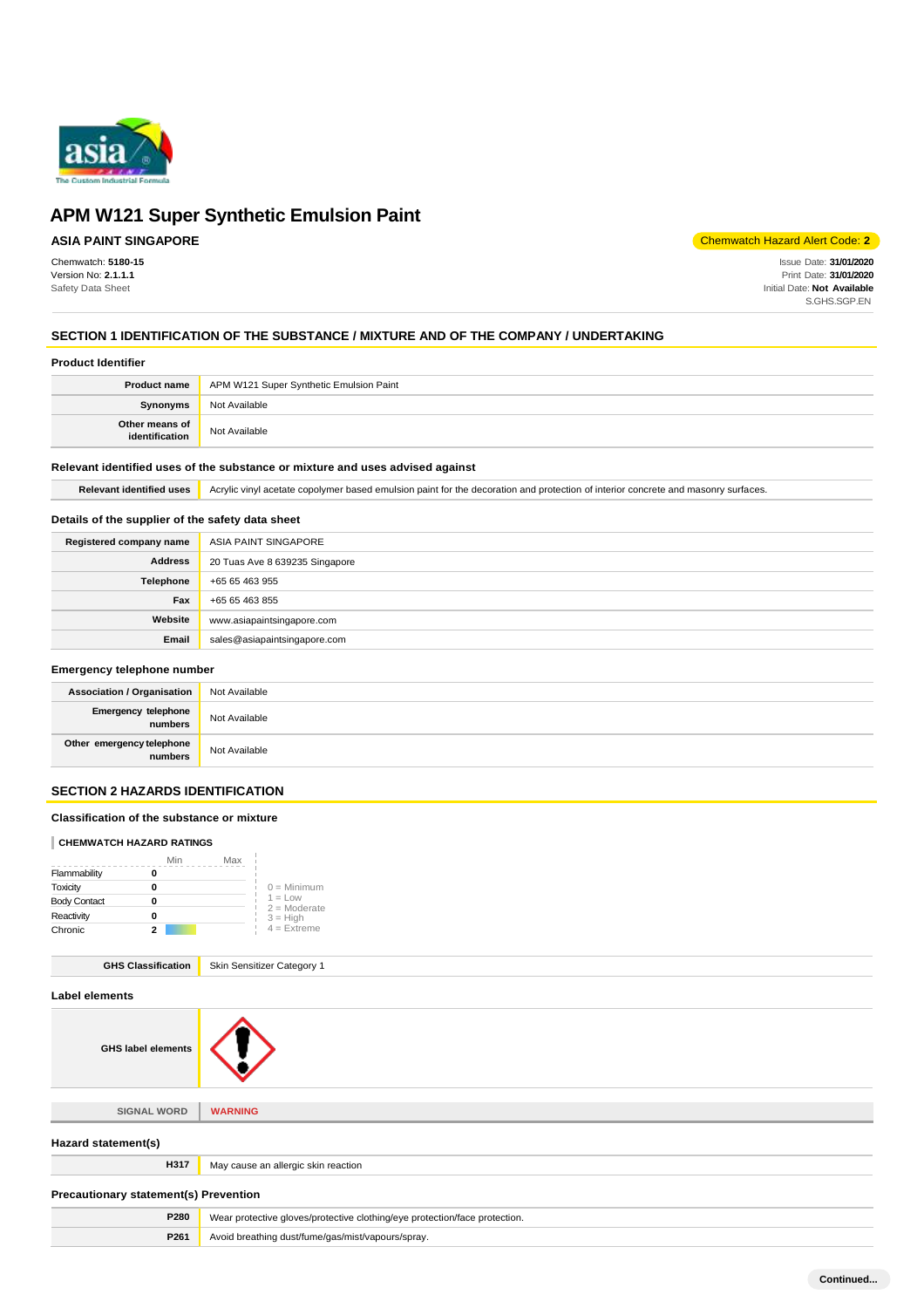

# **ASIA PAINT SINGAPORE**

Chemwatch: **5180-15** Version No: **2.1.1.1** Safety Data Sheet

Chemwatch Hazard Alert Code: **2**

Issue Date: **31/01/2020** Print Date: **31/01/2020** Initial Date: **Not Available** S.GHS.SGP.EN

# **SECTION 1 IDENTIFICATION OF THE SUBSTANCE / MIXTURE AND OF THE COMPANY / UNDERTAKING**

### **Product Identifier**

|                                  | <b>Product name</b>   APM W121 Super Synthetic Emulsion Paint |
|----------------------------------|---------------------------------------------------------------|
| <b>Synonyms</b>                  | Not Available                                                 |
| Other means of<br>identification | Not Available                                                 |

### **Relevant identified uses of the substance or mixture and uses advised against**

Relevant identified uses **Acrylic vinyl acetate copolymer based emulsion paint for the decoration and protection of interior concrete and masonry surfaces.** 

### **Details of the supplier of the safety data sheet**

| Registered company name | ASIA PAINT SINGAPORE           |
|-------------------------|--------------------------------|
| <b>Address</b>          | 20 Tuas Ave 8 639235 Singapore |
| Telephone               | +65 65 463 955                 |
| Fax                     | +65 65 463 855                 |
| Website                 | www.asiapaintsingapore.com     |
| Email                   | sales@asiapaintsingapore.com   |

## **Emergency telephone number**

| <b>Association / Organisation</b>     | Not Available |
|---------------------------------------|---------------|
| <b>Emergency telephone</b><br>numbers | Not Available |
| Other emergency telephone<br>numbers  | Not Available |

# **SECTION 2 HAZARDS IDENTIFICATION**

### **Classification of the substance or mixture**

### **CHEMWATCH HAZARD RATINGS**

|                     | Min | Max |                             |
|---------------------|-----|-----|-----------------------------|
| Flammability        |     |     |                             |
| Toxicity            |     |     | $0 =$ Minimum               |
| <b>Body Contact</b> |     |     | $1 = Low$<br>$2 =$ Moderate |
| Reactivity          |     |     | $3 = High$                  |
| Chronic             | 2   |     | $4$ = Extreme               |

| <b>GHS Classification</b> | Skin Sensitizer Category 1 |
|---------------------------|----------------------------|
|---------------------------|----------------------------|

| Label elements                               |                                                                            |
|----------------------------------------------|----------------------------------------------------------------------------|
| <b>GHS label elements</b>                    |                                                                            |
|                                              |                                                                            |
| <b>SIGNAL WORD</b>                           | <b>WARNING</b>                                                             |
| Hazard statement(s)                          |                                                                            |
| H317                                         | May cause an allergic skin reaction                                        |
| <b>Precautionary statement(s) Prevention</b> |                                                                            |
| P280                                         | Wear protective gloves/protective clothing/eye protection/face protection. |
| P261                                         | Avoid breathing dust/fume/gas/mist/vapours/spray.                          |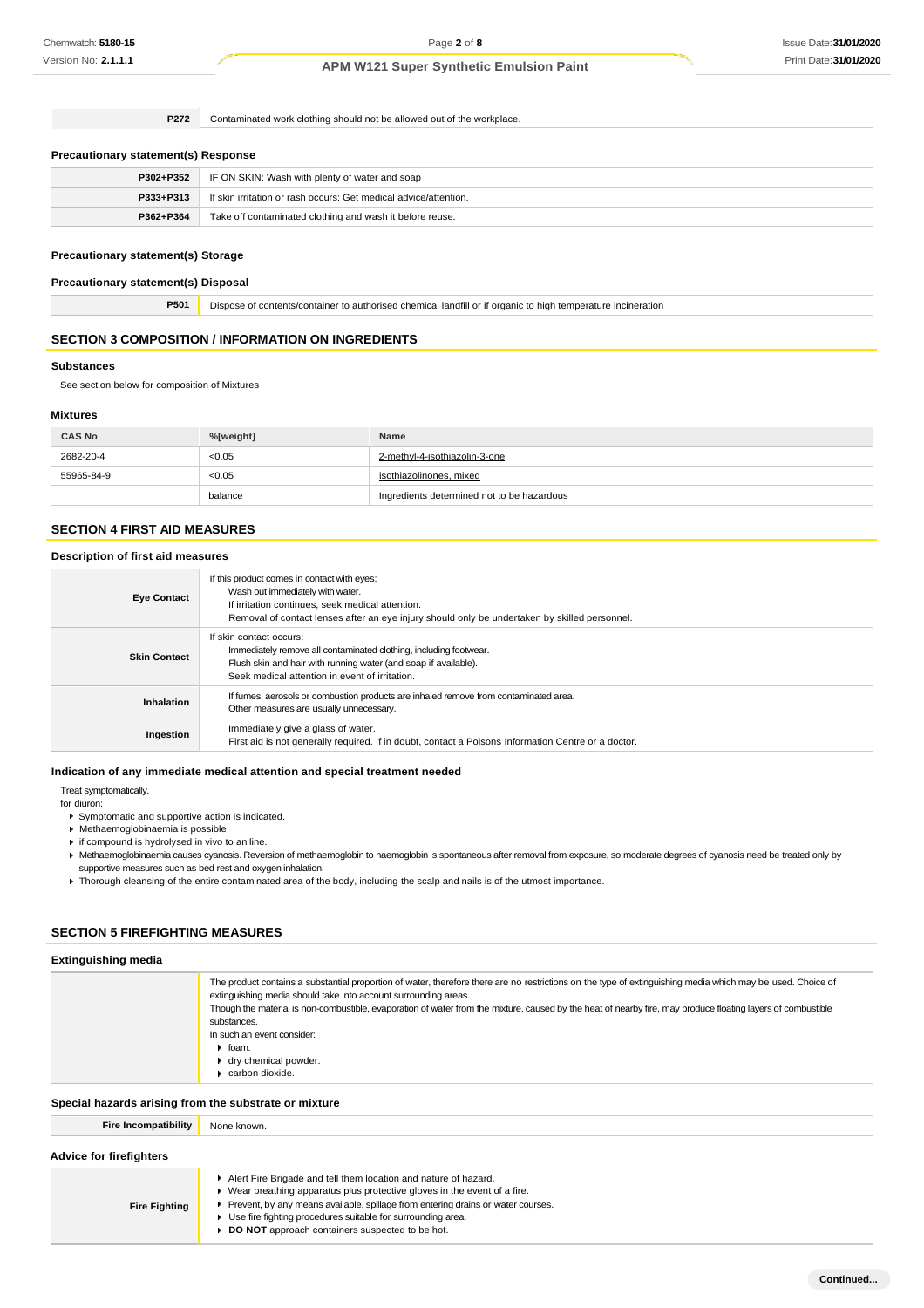**P272** Contaminated work clothing should not be allowed out of the workplace.

#### **Precautionary statement(s) Response**

| P302+P352 | IF ON SKIN: Wash with plenty of water and soap                   |
|-----------|------------------------------------------------------------------|
| P333+P313 | If skin irritation or rash occurs: Get medical advice/attention. |
| P362+P364 | Take off contaminated clothing and wash it before reuse.         |

### **Precautionary statement(s) Storage**

#### **Precautionary statement(s) Disposal**

**P501** Dispose of contents/container to authorised chemical landfill or if organic to high temperature incineration

### **SECTION 3 COMPOSITION / INFORMATION ON INGREDIENTS**

### **Substances**

See section below for composition of Mixtures

### **Mixtures**

| <b>CAS No</b> | %[weight] | Name                                       |
|---------------|-----------|--------------------------------------------|
| 2682-20-4     | < 0.05    | 2-methyl-4-isothiazolin-3-one              |
| 55965-84-9    | < 0.05    | isothiazolinones, mixed                    |
|               | balance   | Ingredients determined not to be hazardous |

### **SECTION 4 FIRST AID MEASURES**

### **Description of first aid measures**

| <b>Eye Contact</b>  | If this product comes in contact with eyes:<br>Wash out immediately with water.<br>If irritation continues, seek medical attention.<br>Removal of contact lenses after an eye injury should only be undertaken by skilled personnel. |
|---------------------|--------------------------------------------------------------------------------------------------------------------------------------------------------------------------------------------------------------------------------------|
| <b>Skin Contact</b> | If skin contact occurs:<br>Immediately remove all contaminated clothing, including footwear.<br>Flush skin and hair with running water (and soap if available).<br>Seek medical attention in event of irritation.                    |
| Inhalation          | If fumes, aerosols or combustion products are inhaled remove from contaminated area.<br>Other measures are usually unnecessary.                                                                                                      |
| Ingestion           | Immediately give a glass of water.<br>First aid is not generally required. If in doubt, contact a Poisons Information Centre or a doctor.                                                                                            |

### **Indication of any immediate medical attention and special treatment needed**

Treat symptomatically.

for diuron:

- Symptomatic and supportive action is indicated.
- Methaemoglobinaemia is possible
- if compound is hydrolysed in vivo to aniline.
- Methaemoglobinaemia causes cyanosis. Reversion of methaemoglobin to haemoglobin is spontaneous after removal from exposure, so moderate degrees of cyanosis need be treated only by
- supportive measures such as bed rest and oxygen inhalation.
- Thorough cleansing of the entire contaminated area of the body, including the scalp and nails is of the utmost importance.

# **SECTION 5 FIREFIGHTING MEASURES**

| <b>Extinguishing media</b>                            |                                                                                                                                                                                                                                                                                                                                                                                                                                                                                                                       |  |
|-------------------------------------------------------|-----------------------------------------------------------------------------------------------------------------------------------------------------------------------------------------------------------------------------------------------------------------------------------------------------------------------------------------------------------------------------------------------------------------------------------------------------------------------------------------------------------------------|--|
|                                                       | The product contains a substantial proportion of water, therefore there are no restrictions on the type of extinguishing media which may be used. Choice of<br>extinguishing media should take into account surrounding areas.<br>Though the material is non-combustible, evaporation of water from the mixture, caused by the heat of nearby fire, may produce floating layers of combustible<br>substances.<br>In such an event consider:<br>$\bullet$ foam.<br>▶ dry chemical powder.<br>$\bullet$ carbon dioxide. |  |
| Special hazards arising from the substrate or mixture |                                                                                                                                                                                                                                                                                                                                                                                                                                                                                                                       |  |
| <b>Fire Incompatibility</b>                           | None known.                                                                                                                                                                                                                                                                                                                                                                                                                                                                                                           |  |

### **Advice for firefighters**

| <b>Fire Fighting</b> | Alert Fire Brigade and tell them location and nature of hazard.<br>Wear breathing apparatus plus protective gloves in the event of a fire.<br>Prevent, by any means available, spillage from entering drains or water courses.<br>Use fire fighting procedures suitable for surrounding area.<br>DO NOT approach containers suspected to be hot. |
|----------------------|--------------------------------------------------------------------------------------------------------------------------------------------------------------------------------------------------------------------------------------------------------------------------------------------------------------------------------------------------|
|----------------------|--------------------------------------------------------------------------------------------------------------------------------------------------------------------------------------------------------------------------------------------------------------------------------------------------------------------------------------------------|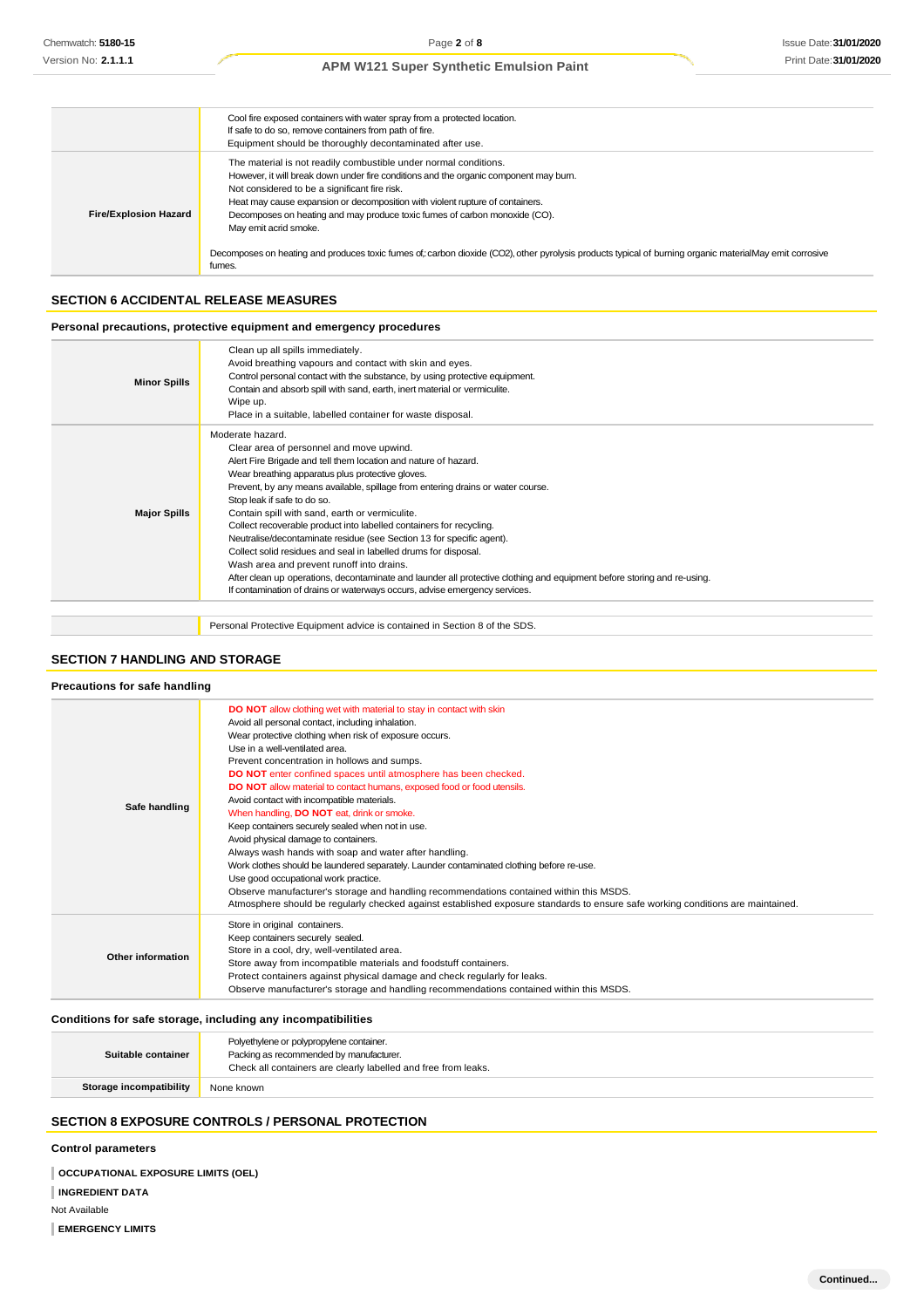|                              | Cool fire exposed containers with water spray from a protected location.<br>If safe to do so, remove containers from path of fire.<br>Equipment should be thoroughly decontaminated after use.                                                                                                                                                                                                                                                                                                                                                                           |
|------------------------------|--------------------------------------------------------------------------------------------------------------------------------------------------------------------------------------------------------------------------------------------------------------------------------------------------------------------------------------------------------------------------------------------------------------------------------------------------------------------------------------------------------------------------------------------------------------------------|
| <b>Fire/Explosion Hazard</b> | The material is not readily combustible under normal conditions.<br>However, it will break down under fire conditions and the organic component may burn.<br>Not considered to be a significant fire risk.<br>Heat may cause expansion or decomposition with violent rupture of containers.<br>Decomposes on heating and may produce toxic fumes of carbon monoxide (CO).<br>May emit acrid smoke.<br>Decomposes on heating and produces toxic fumes of : carbon dioxide (CO2), other pyrolysis products typical of burning organic materialMay emit corrosive<br>fumes. |

### **SECTION 6 ACCIDENTAL RELEASE MEASURES**

### **Personal precautions, protective equipment and emergency procedures**

| <b>Minor Spills</b> | Clean up all spills immediately.<br>Avoid breathing vapours and contact with skin and eyes.<br>Control personal contact with the substance, by using protective equipment.<br>Contain and absorb spill with sand, earth, inert material or vermiculite.<br>Wipe up.<br>Place in a suitable, labelled container for waste disposal.                                                                                                                                                                                                                                                                                                                                                                                                                                                                                               |
|---------------------|----------------------------------------------------------------------------------------------------------------------------------------------------------------------------------------------------------------------------------------------------------------------------------------------------------------------------------------------------------------------------------------------------------------------------------------------------------------------------------------------------------------------------------------------------------------------------------------------------------------------------------------------------------------------------------------------------------------------------------------------------------------------------------------------------------------------------------|
| <b>Major Spills</b> | Moderate hazard.<br>Clear area of personnel and move upwind.<br>Alert Fire Brigade and tell them location and nature of hazard.<br>Wear breathing apparatus plus protective gloves.<br>Prevent, by any means available, spillage from entering drains or water course.<br>Stop leak if safe to do so.<br>Contain spill with sand, earth or vermiculite.<br>Collect recoverable product into labelled containers for recycling.<br>Neutralise/decontaminate residue (see Section 13 for specific agent).<br>Collect solid residues and seal in labelled drums for disposal.<br>Wash area and prevent runoff into drains.<br>After clean up operations, decontaminate and launder all protective clothing and equipment before storing and re-using.<br>If contamination of drains or waterways occurs, advise emergency services. |
|                     | Personal Protective Equipment advice is contained in Section 8 of the SDS.                                                                                                                                                                                                                                                                                                                                                                                                                                                                                                                                                                                                                                                                                                                                                       |

### **SECTION 7 HANDLING AND STORAGE**

#### **Precautions for safe handling**

| Safe handling     | <b>DO NOT</b> allow clothing wet with material to stay in contact with skin<br>Avoid all personal contact, including inhalation.<br>Wear protective clothing when risk of exposure occurs.<br>Use in a well-ventilated area.<br>Prevent concentration in hollows and sumps.<br>DO NOT enter confined spaces until atmosphere has been checked.<br><b>DO NOT</b> allow material to contact humans, exposed food or food utensils.<br>Avoid contact with incompatible materials.<br>When handling, <b>DO NOT</b> eat, drink or smoke.<br>Keep containers securely sealed when not in use.<br>Avoid physical damage to containers.<br>Always wash hands with soap and water after handling.<br>Work clothes should be laundered separately. Launder contaminated clothing before re-use.<br>Use good occupational work practice.<br>Observe manufacturer's storage and handling recommendations contained within this MSDS.<br>Atmosphere should be regularly checked against established exposure standards to ensure safe working conditions are maintained. |
|-------------------|-------------------------------------------------------------------------------------------------------------------------------------------------------------------------------------------------------------------------------------------------------------------------------------------------------------------------------------------------------------------------------------------------------------------------------------------------------------------------------------------------------------------------------------------------------------------------------------------------------------------------------------------------------------------------------------------------------------------------------------------------------------------------------------------------------------------------------------------------------------------------------------------------------------------------------------------------------------------------------------------------------------------------------------------------------------|
| Other information | Store in original containers.<br>Keep containers securely sealed.<br>Store in a cool, dry, well-ventilated area.<br>Store away from incompatible materials and foodstuff containers.<br>Protect containers against physical damage and check regularly for leaks.<br>Observe manufacturer's storage and handling recommendations contained within this MSDS.                                                                                                                                                                                                                                                                                                                                                                                                                                                                                                                                                                                                                                                                                                |

### **Conditions for safe storage, including any incompatibilities**

| Suitable container             | Polyethylene or polypropylene container.<br>Packing as recommended by manufacturer.<br>Check all containers are clearly labelled and free from leaks. |
|--------------------------------|-------------------------------------------------------------------------------------------------------------------------------------------------------|
| <b>Storage incompatibility</b> | None known                                                                                                                                            |
|                                |                                                                                                                                                       |

# **SECTION 8 EXPOSURE CONTROLS / PERSONAL PROTECTION**

### **Control parameters**

**OCCUPATIONAL EXPOSURE LIMITS (OEL)** 

**INGREDIENT DATA**

Not Available

**EMERGENCY LIMITS**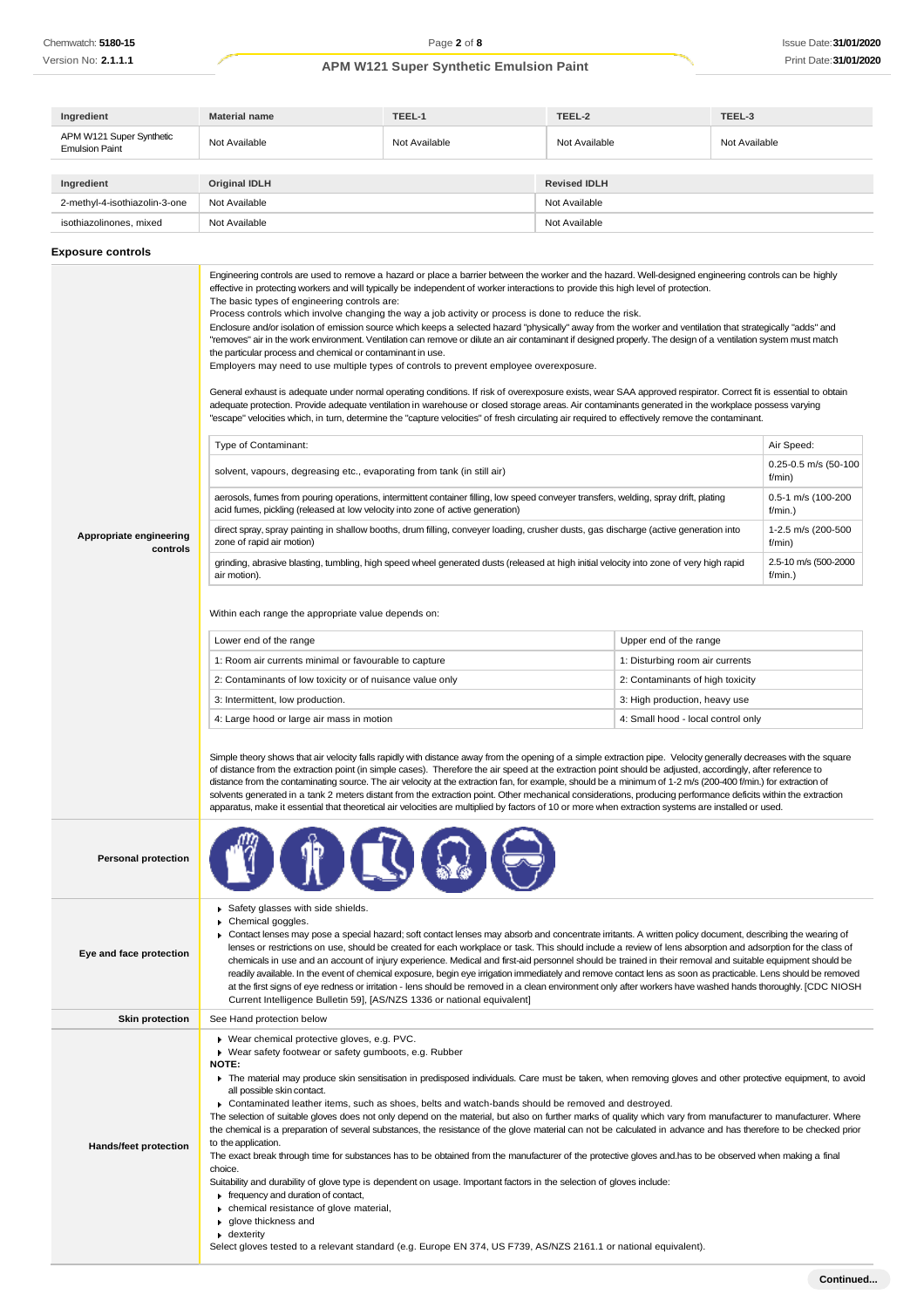| Ingredient                                        | <b>Material name</b> | TEEL-1        | TEEL-2              | TEEL-3        |
|---------------------------------------------------|----------------------|---------------|---------------------|---------------|
| APM W121 Super Synthetic<br><b>Emulsion Paint</b> | Not Available        | Not Available | Not Available       | Not Available |
|                                                   |                      |               |                     |               |
| Ingredient                                        | <b>Original IDLH</b> |               | <b>Revised IDLH</b> |               |
| 2-methyl-4-isothiazolin-3-one                     | Not Available        |               | Not Available       |               |
| isothiazolinones, mixed                           | Not Available        |               | Not Available       |               |

### **Exposure controls**

|                                     | Engineering controls are used to remove a hazard or place a barrier between the worker and the hazard. Well-designed engineering controls can be highly<br>effective in protecting workers and will typically be independent of worker interactions to provide this high level of protection.<br>The basic types of engineering controls are:<br>Process controls which involve changing the way a job activity or process is done to reduce the risk.<br>Enclosure and/or isolation of emission source which keeps a selected hazard "physically" away from the worker and ventilation that strategically "adds" and<br>"removes" air in the work environment. Ventilation can remove or dilute an air contaminant if designed properly. The design of a ventilation system must match<br>the particular process and chemical or contaminant in use.<br>Employers may need to use multiple types of controls to prevent employee overexposure.<br>General exhaust is adequate under normal operating conditions. If risk of overexposure exists, wear SAA approved respirator. Correct fit is essential to obtain<br>adequate protection. Provide adequate ventilation in warehouse or closed storage areas. Air contaminants generated in the workplace possess varying<br>"escape" velocities which, in tum, determine the "capture velocities" of fresh circulating air required to effectively remove the contaminant. |                                    |                                 |  |
|-------------------------------------|-----------------------------------------------------------------------------------------------------------------------------------------------------------------------------------------------------------------------------------------------------------------------------------------------------------------------------------------------------------------------------------------------------------------------------------------------------------------------------------------------------------------------------------------------------------------------------------------------------------------------------------------------------------------------------------------------------------------------------------------------------------------------------------------------------------------------------------------------------------------------------------------------------------------------------------------------------------------------------------------------------------------------------------------------------------------------------------------------------------------------------------------------------------------------------------------------------------------------------------------------------------------------------------------------------------------------------------------------------------------------------------------------------------------------------|------------------------------------|---------------------------------|--|
|                                     | Type of Contaminant:                                                                                                                                                                                                                                                                                                                                                                                                                                                                                                                                                                                                                                                                                                                                                                                                                                                                                                                                                                                                                                                                                                                                                                                                                                                                                                                                                                                                        |                                    | Air Speed:                      |  |
|                                     | solvent, vapours, degreasing etc., evaporating from tank (in still air)                                                                                                                                                                                                                                                                                                                                                                                                                                                                                                                                                                                                                                                                                                                                                                                                                                                                                                                                                                                                                                                                                                                                                                                                                                                                                                                                                     |                                    | 0.25-0.5 m/s (50-100<br>f/min)  |  |
|                                     | aerosols, fumes from pouring operations, intermittent container filling, low speed conveyer transfers, welding, spray drift, plating<br>acid fumes, pickling (released at low velocity into zone of active generation)                                                                                                                                                                                                                                                                                                                                                                                                                                                                                                                                                                                                                                                                                                                                                                                                                                                                                                                                                                                                                                                                                                                                                                                                      |                                    | 0.5-1 m/s (100-200<br>f/min.)   |  |
| Appropriate engineering<br>controls | direct spray, spray painting in shallow booths, drum filling, conveyer loading, crusher dusts, gas discharge (active generation into<br>zone of rapid air motion)                                                                                                                                                                                                                                                                                                                                                                                                                                                                                                                                                                                                                                                                                                                                                                                                                                                                                                                                                                                                                                                                                                                                                                                                                                                           |                                    | 1-2.5 m/s (200-500<br>f/min)    |  |
|                                     | grinding, abrasive blasting, tumbling, high speed wheel generated dusts (released at high initial velocity into zone of very high rapid<br>air motion).                                                                                                                                                                                                                                                                                                                                                                                                                                                                                                                                                                                                                                                                                                                                                                                                                                                                                                                                                                                                                                                                                                                                                                                                                                                                     |                                    | 2.5-10 m/s (500-2000<br>f/min.) |  |
|                                     | Within each range the appropriate value depends on:                                                                                                                                                                                                                                                                                                                                                                                                                                                                                                                                                                                                                                                                                                                                                                                                                                                                                                                                                                                                                                                                                                                                                                                                                                                                                                                                                                         |                                    |                                 |  |
|                                     | Lower end of the range                                                                                                                                                                                                                                                                                                                                                                                                                                                                                                                                                                                                                                                                                                                                                                                                                                                                                                                                                                                                                                                                                                                                                                                                                                                                                                                                                                                                      | Upper end of the range             |                                 |  |
|                                     | 1: Room air currents minimal or favourable to capture                                                                                                                                                                                                                                                                                                                                                                                                                                                                                                                                                                                                                                                                                                                                                                                                                                                                                                                                                                                                                                                                                                                                                                                                                                                                                                                                                                       | 1: Disturbing room air currents    |                                 |  |
|                                     | 2: Contaminants of low toxicity or of nuisance value only                                                                                                                                                                                                                                                                                                                                                                                                                                                                                                                                                                                                                                                                                                                                                                                                                                                                                                                                                                                                                                                                                                                                                                                                                                                                                                                                                                   | 2: Contaminants of high toxicity   |                                 |  |
|                                     | 3: Intermittent, low production.                                                                                                                                                                                                                                                                                                                                                                                                                                                                                                                                                                                                                                                                                                                                                                                                                                                                                                                                                                                                                                                                                                                                                                                                                                                                                                                                                                                            | 3: High production, heavy use      |                                 |  |
|                                     | 4: Large hood or large air mass in motion                                                                                                                                                                                                                                                                                                                                                                                                                                                                                                                                                                                                                                                                                                                                                                                                                                                                                                                                                                                                                                                                                                                                                                                                                                                                                                                                                                                   | 4: Small hood - local control only |                                 |  |
|                                     | Simple theory shows that air velocity falls rapidly with distance away from the opening of a simple extraction pipe. Velocity generally decreases with the square<br>of distance from the extraction point (in simple cases). Therefore the air speed at the extraction point should be adjusted, accordingly, after reference to<br>distance from the contaminating source. The air velocity at the extraction fan, for example, should be a minimum of 1-2 m/s (200-400 f/min.) for extraction of<br>solvents generated in a tank 2 meters distant from the extraction point. Other mechanical considerations, producing performance deficits within the extraction<br>apparatus, make it essential that theoretical air velocities are multiplied by factors of 10 or more when extraction systems are installed or used.                                                                                                                                                                                                                                                                                                                                                                                                                                                                                                                                                                                                |                                    |                                 |  |
| <b>Personal protection</b>          |                                                                                                                                                                                                                                                                                                                                                                                                                                                                                                                                                                                                                                                                                                                                                                                                                                                                                                                                                                                                                                                                                                                                                                                                                                                                                                                                                                                                                             |                                    |                                 |  |
| Eye and face protection             | Safety glasses with side shields.<br>Chemical goggles.<br>Contact lenses may pose a special hazard; soft contact lenses may absorb and concentrate irritants. A written policy document, describing the wearing of<br>lenses or restrictions on use, should be created for each workplace or task. This should include a review of lens absorption and adsorption for the class of<br>chemicals in use and an account of injury experience. Medical and first-aid personnel should be trained in their removal and suitable equipment should be<br>readily available. In the event of chemical exposure, begin eye irrigation immediately and remove contact lens as soon as practicable. Lens should be removed<br>at the first signs of eye redness or irritation - lens should be removed in a clean environment only after workers have washed hands thoroughly. [CDC NIOSH<br>Current Intelligence Bulletin 59], [AS/NZS 1336 or national equivalent]                                                                                                                                                                                                                                                                                                                                                                                                                                                                  |                                    |                                 |  |
| <b>Skin protection</b>              | See Hand protection below                                                                                                                                                                                                                                                                                                                                                                                                                                                                                                                                                                                                                                                                                                                                                                                                                                                                                                                                                                                                                                                                                                                                                                                                                                                                                                                                                                                                   |                                    |                                 |  |
| <b>Hands/feet protection</b>        | ▶ Wear chemical protective gloves, e.g. PVC.<br>▶ Wear safety footwear or safety gumboots, e.g. Rubber<br>NOTE:<br>The material may produce skin sensitisation in predisposed individuals. Care must be taken, when removing gloves and other protective equipment, to avoid<br>all possible skin contact.<br>▶ Contaminated leather items, such as shoes, belts and watch-bands should be removed and destroyed.<br>The selection of suitable gloves does not only depend on the material, but also on further marks of quality which vary from manufacturer to manufacturer. Where<br>the chemical is a preparation of several substances, the resistance of the glove material can not be calculated in advance and has therefore to be checked prior<br>to the application.<br>The exact break through time for substances has to be obtained from the manufacturer of the protective gloves and has to be observed when making a final<br>choice.<br>Suitability and durability of glove type is dependent on usage. Important factors in the selection of gloves include:<br>$\blacktriangleright$ frequency and duration of contact,<br>chemical resistance of glove material,<br>glove thickness and<br>$\bullet$ dexterity<br>Select gloves tested to a relevant standard (e.g. Europe EN 374, US F739, AS/NZS 2161.1 or national equivalent).                                                                     |                                    |                                 |  |
|                                     |                                                                                                                                                                                                                                                                                                                                                                                                                                                                                                                                                                                                                                                                                                                                                                                                                                                                                                                                                                                                                                                                                                                                                                                                                                                                                                                                                                                                                             |                                    |                                 |  |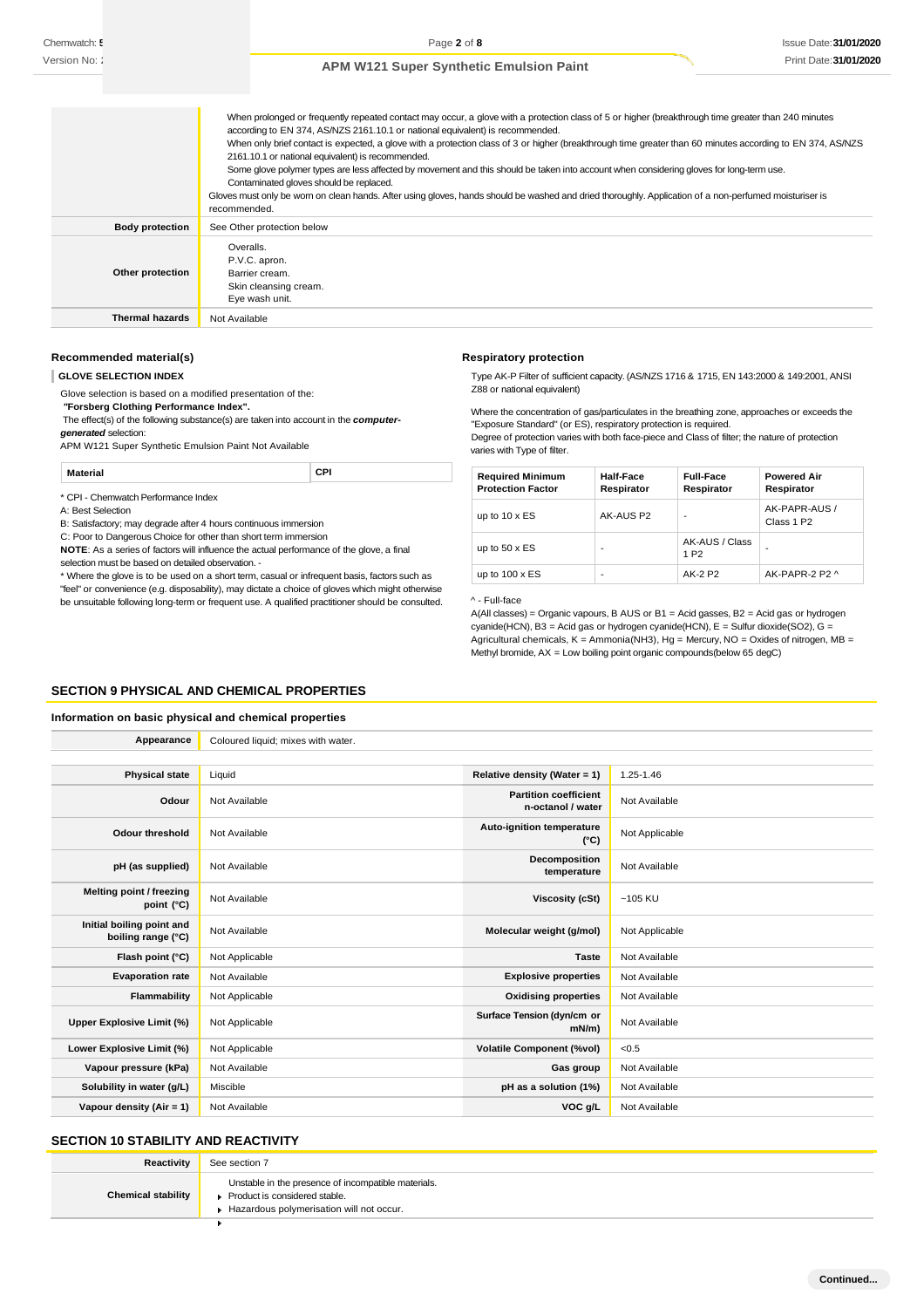|                        | When prolonged or frequently repeated contact may occur, a glove with a protection class of 5 or higher (breakthrough time greater than 240 minutes<br>according to EN 374, AS/NZS 2161.10.1 or national equivalent) is recommended.<br>When only brief contact is expected, a glove with a protection class of 3 or higher (breakthrough time greater than 60 minutes according to EN 374, AS/NZS<br>2161.10.1 or national equivalent) is recommended.<br>Some glove polymer types are less affected by movement and this should be taken into account when considering gloves for long-term use.<br>Contaminated gloves should be replaced.<br>Gloves must only be wom on clean hands. After using gloves, hands should be washed and dried thoroughly. Application of a non-perfumed moisturiser is<br>recommended. |
|------------------------|------------------------------------------------------------------------------------------------------------------------------------------------------------------------------------------------------------------------------------------------------------------------------------------------------------------------------------------------------------------------------------------------------------------------------------------------------------------------------------------------------------------------------------------------------------------------------------------------------------------------------------------------------------------------------------------------------------------------------------------------------------------------------------------------------------------------|
| <b>Body protection</b> | See Other protection below                                                                                                                                                                                                                                                                                                                                                                                                                                                                                                                                                                                                                                                                                                                                                                                             |
| Other protection       | Overalls.<br>P.V.C. apron.<br>Barrier cream.<br>Skin cleansing cream.<br>Eye wash unit.                                                                                                                                                                                                                                                                                                                                                                                                                                                                                                                                                                                                                                                                                                                                |
| <b>Thermal hazards</b> | Not Available                                                                                                                                                                                                                                                                                                                                                                                                                                                                                                                                                                                                                                                                                                                                                                                                          |

### **Recommended material(s)**

**GLOVE SELECTION INDEX**

Glove selection is based on a modified presentation of the: *"***Forsberg Clothing Performance Index".** The effect(s) of the following substance(s) are taken into account in the *computergenerated* selection: APM W121 Super Synthetic Emulsion Paint Not Available

**Respiratory protection** Type AK-P Filter of sufficient capacity. (AS/NZS 1716 & 1715, EN 143:2000 & 149:2001, ANSI Z88 or national equivalent)

Where the concentration of gas/particulates in the breathing zone, approaches or exceeds the "Exposure Standard" (or ES), respiratory protection is required.

Degree of protection varies with both face-piece and Class of filter; the nature of protection varies with Type of filter.

**Material CPI**

\* CPI - Chemwatch Performance Index

A: Best Selection

B: Satisfactory; may degrade after 4 hours continuous immersion

C: Poor to Dangerous Choice for other than short term immersion

**NOTE**: As a series of factors will influence the actual performance of the glove, a final selection must be based on detailed observation. -

\* Where the glove is to be used on a short term, casual or infrequent basis, factors such as "feel" or convenience (e.g. disposability), may dictate a choice of gloves which might otherwise be unsuitable following long-term or frequent use. A qualified practitioner should be consulted.

| <b>Required Minimum</b><br><b>Protection Factor</b> | Half-Face<br>Respirator | <b>Full-Face</b><br>Respirator     | <b>Powered Air</b><br>Respirator        |
|-----------------------------------------------------|-------------------------|------------------------------------|-----------------------------------------|
| up to $10 \times ES$                                | AK-AUS P2               |                                    | AK-PAPR-AUS /<br>Class 1 P <sub>2</sub> |
| up to $50 \times ES$                                | -                       | AK-AUS / Class<br>1 P <sub>2</sub> | -                                       |
| up to $100 \times ES$                               | -                       | AK-2 P2                            | AK-PAPR-2 P2 ^                          |

^ - Full-face

A(All classes) = Organic vapours, B AUS or B1 = Acid gasses, B2 = Acid gas or hydrogen cyanide(HCN), B3 = Acid gas or hydrogen cyanide(HCN), E = Sulfur dioxide(SO2), G = Agricultural chemicals,  $K =$  Ammonia(NH3), Hg = Mercury, NO = Oxides of nitrogen, MB = Methyl bromide, AX = Low boiling point organic compounds(below 65 degC)

### **SECTION 9 PHYSICAL AND CHEMICAL PROPERTIES**

#### **Information on basic physical and chemical properties**

| Appearance                                      | Coloured liquid; mixes with water. |                                                   |                |
|-------------------------------------------------|------------------------------------|---------------------------------------------------|----------------|
|                                                 |                                    |                                                   |                |
| <b>Physical state</b>                           | Liquid                             | Relative density (Water = 1)                      | 1.25-1.46      |
| Odour                                           | Not Available                      | <b>Partition coefficient</b><br>n-octanol / water | Not Available  |
| <b>Odour threshold</b>                          | Not Available                      | Auto-ignition temperature<br>$(^{\circ}C)$        | Not Applicable |
| pH (as supplied)                                | Not Available                      | Decomposition<br>temperature                      | Not Available  |
| Melting point / freezing<br>point (°C)          | Not Available                      | <b>Viscosity (cSt)</b>                            | $~105$ KU      |
| Initial boiling point and<br>boiling range (°C) | Not Available                      | Molecular weight (g/mol)                          | Not Applicable |
| Flash point (°C)                                | Not Applicable                     | <b>Taste</b>                                      | Not Available  |
| <b>Evaporation rate</b>                         | Not Available                      | <b>Explosive properties</b>                       | Not Available  |
| Flammability                                    | Not Applicable                     | <b>Oxidising properties</b>                       | Not Available  |
| Upper Explosive Limit (%)                       | Not Applicable                     | Surface Tension (dyn/cm or<br>$mN/m$ )            | Not Available  |
| Lower Explosive Limit (%)                       | Not Applicable                     | <b>Volatile Component (%vol)</b>                  | < 0.5          |
| Vapour pressure (kPa)                           | Not Available                      | Gas group                                         | Not Available  |
| Solubility in water (g/L)                       | Miscible                           | pH as a solution (1%)                             | Not Available  |
| Vapour density $(Air = 1)$                      | Not Available                      | VOC g/L                                           | Not Available  |

# **SECTION 10 STABILITY AND REACTIVITY**

| Reactivity                | See section 7                                                                                                                    |
|---------------------------|----------------------------------------------------------------------------------------------------------------------------------|
| <b>Chemical stability</b> | Unstable in the presence of incompatible materials.<br>Product is considered stable.<br>Hazardous polymerisation will not occur. |
|                           |                                                                                                                                  |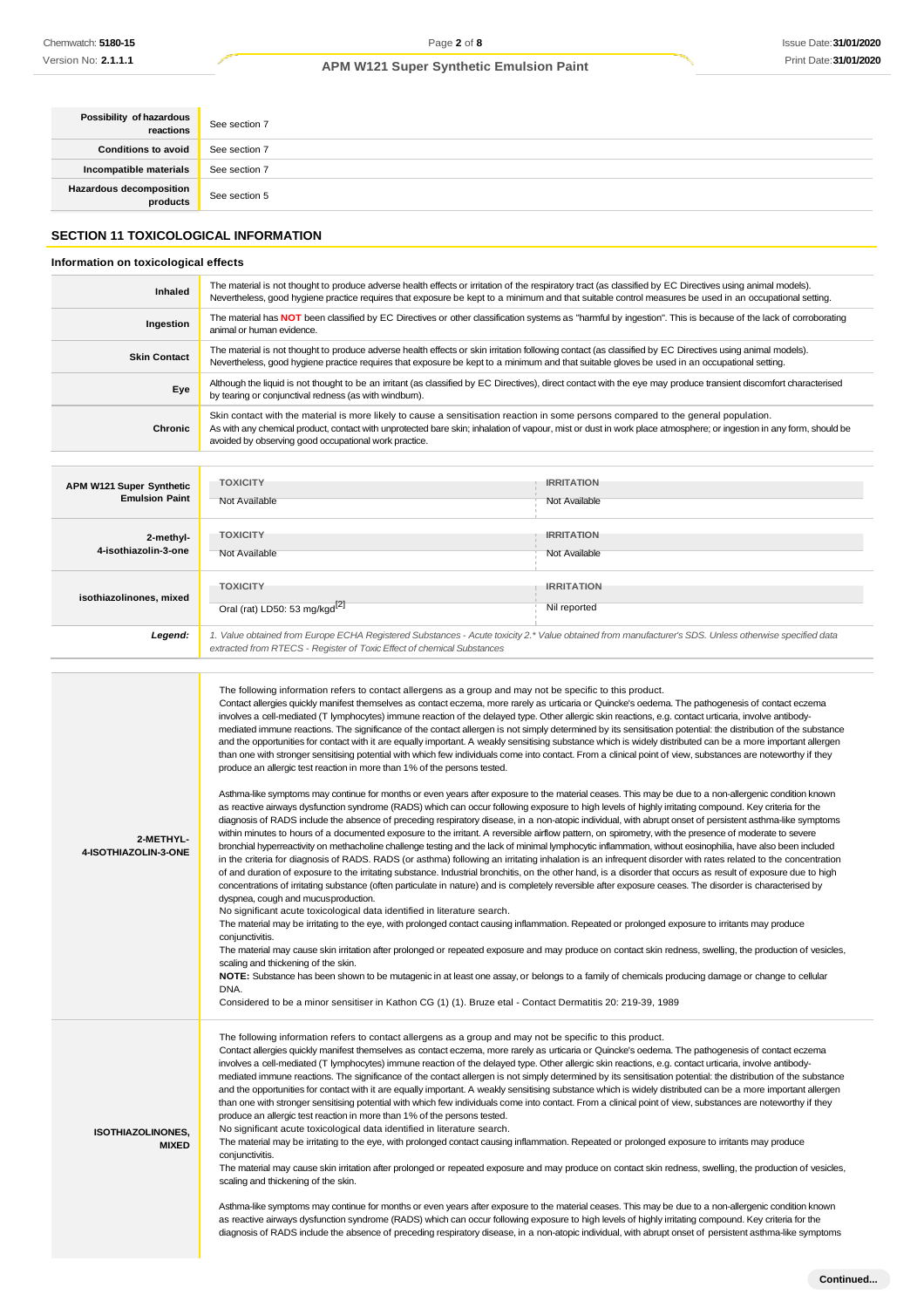| Possibility of hazardous<br>reactions                                               | See section 7                                                                                                                                                                                                                                                                                                        |
|-------------------------------------------------------------------------------------|----------------------------------------------------------------------------------------------------------------------------------------------------------------------------------------------------------------------------------------------------------------------------------------------------------------------|
| <b>Conditions to avoid</b>                                                          | See section 7                                                                                                                                                                                                                                                                                                        |
| Incompatible materials                                                              | See section 7                                                                                                                                                                                                                                                                                                        |
| Hazardous decomposition<br>products                                                 | See section 5                                                                                                                                                                                                                                                                                                        |
| <b>SECTION 11 TOXICOLOGICAL INFORMATION</b><br>Information on toxicological effects |                                                                                                                                                                                                                                                                                                                      |
| Inhaled                                                                             | The material is not thought to produce adverse health effects or irritation of the respiratory tract (as classified by EC Directives using animal models).<br>Nevertheless, good hygiene practice requires that exposure be kept to a minimum and that suitable control measures be used in an occupational setting. |
| Ingestion                                                                           | The material has NOT been classified by EC Directives or other classification systems as "harmful by ingestion". This is because of the lack of corroborating<br>animal or human evidence.                                                                                                                           |
| <b>Skin Contact</b>                                                                 | The material is not thought to produce adverse health effects or skin irritation following contact (as classified by EC Directives using animal models).<br>Nevertheless, good bygiene practice requires that exposure be kept to a minimum and that suitable gloves be used in an occupational setting              |

by tearing or conjunctival redness (as with windburn). **Chronic** Skin contact with the material is more likely to cause a sensitisation reaction in some persons compared to the general population. As with any chemical product, contact with unprotected bare skin; inhalation of vapour, mist or dust in work place atmosphere; or ingestion in any form, should be avoided by observing good occupational work practice. **APM W121 Super Synthetic Emulsion Paint TOXICITY** Not Available **IRRITATION** Not Available **2-methyl-4-isothiazolin-3-one TOXICITY** Not Available **IRRITATION** Not Available **isothiazolinones, mixed TOXICITY** Oral (rat) LD50: 53 mg/kgd<sup>[2]</sup> **IRRITATION** Nil reported *Legend: 1. Value obtained from Europe ECHA Registered Substances - Acute toxicity 2.\* Value obtained from manufacturer's SDS. Unless otherwise specified data extracted from RTECS - Register of Toxic Effect of chemical Substances*

**Eye** Although the liquid is not thought to be an irritant (as classified by EC Directives), direct contact with the eye may produce transient discomfort characterised

**2-METHYL-4-ISOTHIAZOLIN-3-ONE** The following information refers to contact allergens as a group and may not be specific to this product. Contact allergies quickly manifest themselves as contact eczema, more rarely as urticaria or Quincke's oedema. The pathogenesis of contact eczema involves a cell-mediated (T lymphocytes) immune reaction of the delayed type. Other allergic skin reactions, e.g. contact urticaria, involve antibodymediated immune reactions. The significance of the contact allergen is not simply determined by its sensitisation potential: the distribution of the substance and the opportunities for contact with it are equally important. A weakly sensitising substance which is widely distributed can be a more important allergen than one with stronger sensitising potential with which few individuals come into contact. From a clinical point of view, substances are noteworthy if they produce an allergic test reaction in more than 1% of the persons tested. Asthma-like symptoms may continue for months or even years after exposure to the material ceases. This may be due to a non-allergenic condition known as reactive airways dysfunction syndrome (RADS) which can occur following exposure to high levels of highly irritating compound. Key criteria for the diagnosis of RADS include the absence of preceding respiratory disease, in a non-atopic individual, with abrupt onset of persistent asthma-like symptoms within minutes to hours of a documented exposure to the irritant. A reversible airflow pattern, on spirometry, with the presence of moderate to severe bronchial hyperreactivity on methacholine challenge testing and the lack of minimal lymphocytic inflammation, without eosinophilia, have also been included in the criteria for diagnosis of RADS. RADS (or asthma) following an irritating inhalation is an infrequent disorder with rates related to the concentration of and duration of exposure to the irritating substance. Industrial bronchitis, on the other hand, is a disorder that occurs as result of exposure due to high concentrations of irritating substance (often particulate in nature) and is completely reversible after exposure ceases. The disorder is characterised by dyspnea, cough and mucusproduction. No significant acute toxicological data identified in literature search. The material may be irritating to the eye, with prolonged contact causing inflammation. Repeated or prolonged exposure to irritants may produce conjunctivitis. The material may cause skin irritation after prolonged or repeated exposure and may produce on contact skin redness, swelling, the production of vesicles, scaling and thickening of the skin. **NOTE:** Substance has been shown to be mutagenic in at least one assay, or belongs to a family of chemicals producing damage or change to cellular DNA. Considered to be a minor sensitiser in Kathon CG (1) (1). Bruze etal - Contact Dermatitis 20: 219-39, 1989 **ISOTHIAZOLINONES, MIXED** The following information refers to contact allergens as a group and may not be specific to this product. Contact allergies quickly manifest themselves as contact eczema, more rarely as urticaria or Quincke's oedema. The pathogenesis of contact eczema involves a cell-mediated (T lymphocytes) immune reaction of the delayed type. Other allergic skin reactions, e.g. contact urticaria, involve antibodymediated immune reactions. The significance of the contact allergen is not simply determined by its sensitisation potential: the distribution of the substance and the opportunities for contact with it are equally important. A weakly sensitising substance which is widely distributed can be a more important allergen than one with stronger sensitising potential with which few individuals come into contact. From a clinical point of view, substances are noteworthy if they produce an allergic test reaction in more than 1% of the persons tested. No significant acute toxicological data identified in literature search. The material may be irritating to the eye, with prolonged contact causing inflammation. Repeated or prolonged exposure to irritants may produce conjunctivitis. The material may cause skin irritation after prolonged or repeated exposure and may produce on contact skin redness, swelling, the production of vesicles, scaling and thickening of the skin.

> Asthma-like symptoms may continue for months or even years after exposure to the material ceases. This may be due to a non-allergenic condition known as reactive airways dysfunction syndrome (RADS) which can occur following exposure to high levels of highly irritating compound. Key criteria for the diagnosis of RADS include the absence of preceding respiratory disease, in a non-atopic individual, with abrupt onset of persistent asthma-like symptoms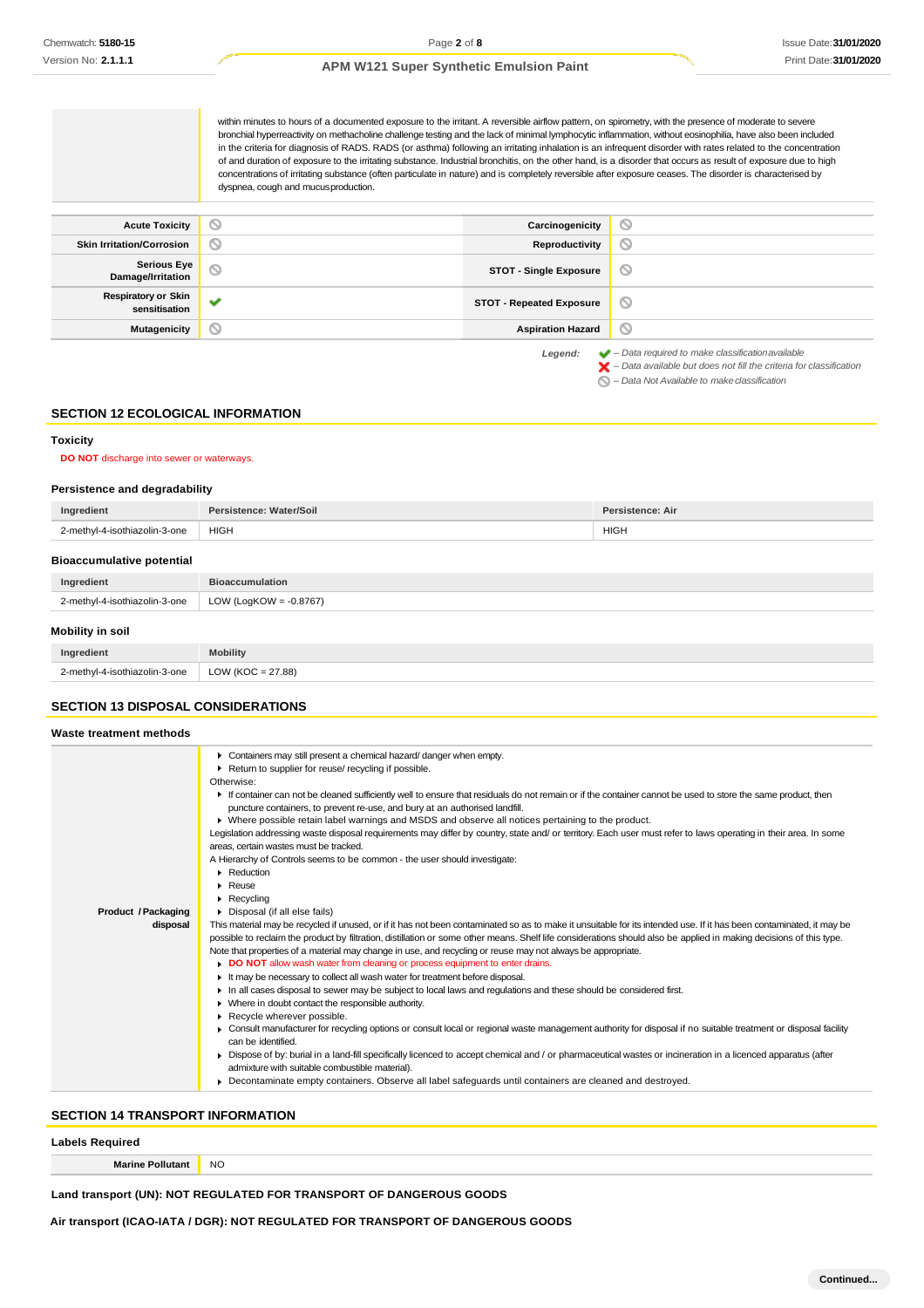within minutes to hours of a documented exposure to the irritant. A reversible airflow pattern, on spirometry, with the presence of moderate to severe bronchial hyperreactivity on methacholine challenge testing and the lack of minimal lymphocytic inflammation, without eosinophilia, have also been included in the criteria for diagnosis of RADS. RADS (or asthma) following an irritating inhalation is an infrequent disorder with rates related to the concentration of and duration of exposure to the irritating substance. Industrial bronchitis, on the other hand, is a disorder that occurs as result of exposure due to high concentrations of irritating substance (often particulate in nature) and is completely reversible after exposure ceases. The disorder is characterised by dyspnea, cough and mucusproduction.

| <b>Acute Toxicity</b>                       | $\circ$      | Carcinogenicity                 | $\circ$                                                                                                                                                            |
|---------------------------------------------|--------------|---------------------------------|--------------------------------------------------------------------------------------------------------------------------------------------------------------------|
| <b>Skin Irritation/Corrosion</b>            | $\circ$      | Reproductivity                  | $\odot$                                                                                                                                                            |
| <b>Serious Eye</b><br>Damage/Irritation     | $\circ$      | <b>STOT - Single Exposure</b>   | ◎                                                                                                                                                                  |
| <b>Respiratory or Skin</b><br>sensitisation | $\checkmark$ | <b>STOT - Repeated Exposure</b> | ◎                                                                                                                                                                  |
| Mutagenicity                                | $\circ$      | <b>Aspiration Hazard</b>        | O                                                                                                                                                                  |
|                                             |              | Legend:                         | $\blacktriangleright$ - Data required to make classification available<br>$\blacktriangleright$ - Data available but does not fill the criteria for classification |

*– Data Not Available to makeclassification*

#### **SECTION 12 ECOLOGICAL INFORMATION**

#### **Toxicity**

**DO NOT** discharge into sewer or waterways.

#### **Persistence and degradability**

| Ingredient                       | Persistence: Water/Soil   | Persistence: Air |  |
|----------------------------------|---------------------------|------------------|--|
| 2-methyl-4-isothiazolin-3-one    | <b>HIGH</b>               | <b>HIGH</b>      |  |
| <b>Bioaccumulative potential</b> |                           |                  |  |
| Ingredient                       | <b>Bioaccumulation</b>    |                  |  |
| 2-methyl-4-isothiazolin-3-one    | LOW (LogKOW = $-0.8767$ ) |                  |  |
| <b>Mobility in soil</b>          |                           |                  |  |
| Ingredient                       | <b>Mobility</b>           |                  |  |

| l-isothiazolin-3-one_<br>'-mathwl<br>$\sim$ | <b>27.88</b><br><b>OW</b> |
|---------------------------------------------|---------------------------|
|                                             |                           |

# **SECTION 13 DISPOSAL CONSIDERATIONS**

| Waste treatment methods    |                                                                                                                                                                                                                 |  |
|----------------------------|-----------------------------------------------------------------------------------------------------------------------------------------------------------------------------------------------------------------|--|
|                            | • Containers may still present a chemical hazard/danger when empty.                                                                                                                                             |  |
|                            | Return to supplier for reuse/ recycling if possible.                                                                                                                                                            |  |
|                            | Otherwise:                                                                                                                                                                                                      |  |
|                            | If container can not be cleaned sufficiently well to ensure that residuals do not remain or if the container cannot be used to store the same product, then                                                     |  |
|                            | puncture containers, to prevent re-use, and bury at an authorised landfill.                                                                                                                                     |  |
|                            | ▶ Where possible retain label warnings and MSDS and observe all notices pertaining to the product.                                                                                                              |  |
|                            | Legislation addressing waste disposal requirements may differ by country, state and/ or territory. Each user must refer to laws operating in their area. In some<br>areas, certain wastes must be tracked.      |  |
|                            | A Hierarchy of Controls seems to be common - the user should investigate:                                                                                                                                       |  |
|                            | Reduction                                                                                                                                                                                                       |  |
|                            | Reuse                                                                                                                                                                                                           |  |
|                            | $\blacktriangleright$ Recycling                                                                                                                                                                                 |  |
| <b>Product / Packaging</b> | • Disposal (if all else fails)                                                                                                                                                                                  |  |
| disposal                   | This material may be recycled if unused, or if it has not been contaminated so as to make it unsuitable for its intended use. If it has been contaminated, it may be                                            |  |
|                            | possible to reclaim the product by filtration, distillation or some other means. Shelf life considerations should also be applied in making decisions of this type.                                             |  |
|                            | Note that properties of a material may change in use, and recycling or reuse may not always be appropriate.                                                                                                     |  |
|                            | DO NOT allow wash water from cleaning or process equipment to enter drains.                                                                                                                                     |  |
|                            | It may be necessary to collect all wash water for treatment before disposal.                                                                                                                                    |  |
|                            | In all cases disposal to sewer may be subject to local laws and regulations and these should be considered first.                                                                                               |  |
|                            | • Where in doubt contact the responsible authority.                                                                                                                                                             |  |
|                            | Recycle wherever possible.                                                                                                                                                                                      |  |
|                            | ▶ Consult manufacturer for recycling options or consult local or regional waste management authority for disposal if no suitable treatment or disposal facility                                                 |  |
|                            | can be identified.                                                                                                                                                                                              |  |
|                            | ► Dispose of by: burial in a land-fill specifically licenced to accept chemical and / or pharmaceutical wastes or incineration in a licenced apparatus (after<br>admixture with suitable combustible material). |  |
|                            | Decontaminate empty containers. Observe all label safequards until containers are cleaned and destroyed.                                                                                                        |  |
|                            |                                                                                                                                                                                                                 |  |

# **SECTION 14 TRANSPORT INFORMATION**

**Marine Pollutant** NO

### **Land transport (UN): NOT REGULATED FOR TRANSPORT OF DANGEROUS GOODS**

**Air transport (ICAO-IATA / DGR): NOT REGULATED FOR TRANSPORT OF DANGEROUS GOODS**